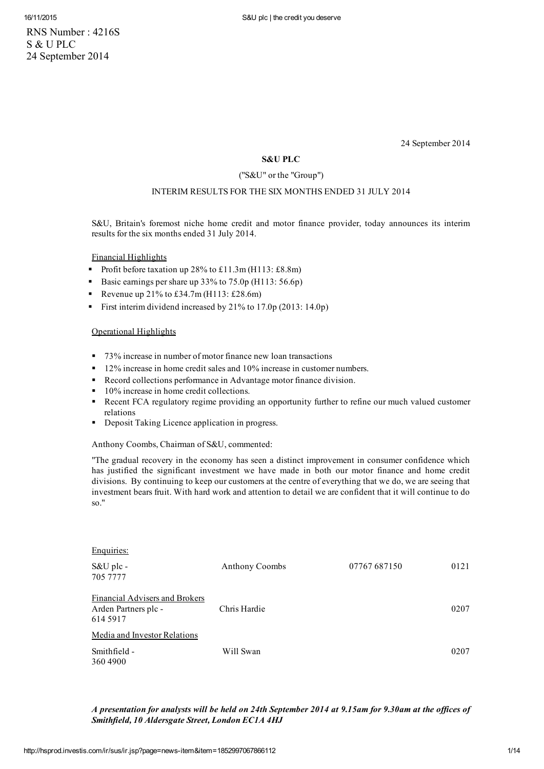RNS Number : 4216S S & U PLC 24 September 2014

24 September 2014

# S&U PLC

## ("S&U" or the "Group")

# INTERIM RESULTS FOR THE SIX MONTHS ENDED 31 JULY 2014

S&U, Britain's foremost niche home credit and motor finance provider, today announces its interim results for the six months ended 31 July 2014.

Financial Highlights

- Profit before taxation up  $28\%$  to £11.3m (H113: £8.8m)
- Basic earnings per share up  $33\%$  to  $75.0p$  (H113: 56.6p)
- Revenue up  $21\%$  to £34.7m (H113: £28.6m)
- First interim dividend increased by 21% to 17.0p (2013: 14.0p)

## Operational Highlights

Enquiries:

- 73% increase in number of motor finance new loan transactions
- <sup>12%</sup> increase in home credit sales and 10% increase in customer numbers.
- Record collections performance in Advantage motor finance division.
- 10% increase in home credit collections.
- **Recent FCA regulatory regime providing an opportunity further to refine our much valued customer** relations
- **•** Deposit Taking Licence application in progress.

Anthony Coombs, Chairman of S&U, commented:

"The gradual recovery in the economy has seen a distinct improvement in consumer confidence which has justified the significant investment we have made in both our motor finance and home credit divisions. By continuing to keep our customers at the centre of everything that we do, we are seeing that investment bears fruit. With hard work and attention to detail we are confident that it will continue to do so."

| Enquiries.                                                         |                       |              |      |
|--------------------------------------------------------------------|-----------------------|--------------|------|
| S&U plc -<br>705 7777                                              | <b>Anthony Coombs</b> | 07767 687150 | 0121 |
| Financial Advisers and Brokers<br>Arden Partners plc -<br>614 5917 | Chris Hardie          |              | 0207 |
| Media and Investor Relations                                       |                       |              |      |
| Smithfield -<br>3604900                                            | Will Swan             |              | 0207 |

### A presentation for analysts will be held on 24th September 2014 at 9.15am for 9.30am at the offices of Smithfield, 10 Aldersgate Street, London EC1A 4HJ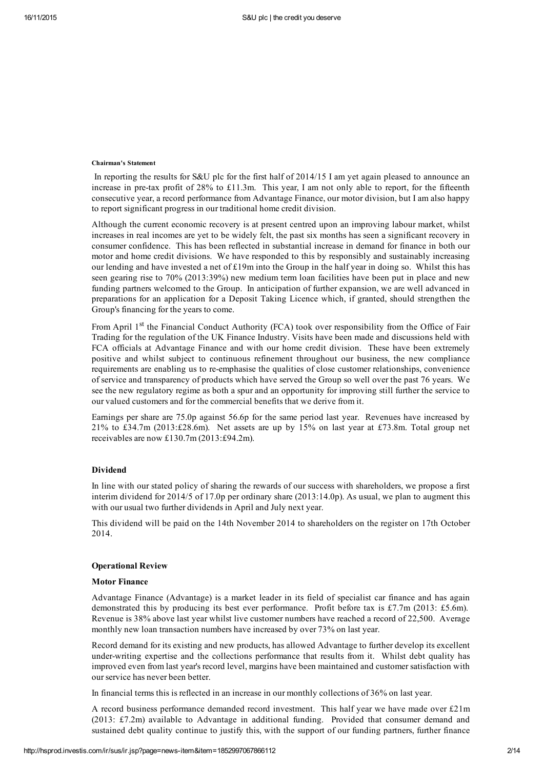#### Chairman's Statement

In reporting the results for S&U plc for the first half of 2014/15 I am yet again pleased to announce an increase in pre-tax profit of 28% to £11.3m. This year, I am not only able to report, for the fifteenth consecutive year, a record performance from Advantage Finance, our motor division, but I am also happy to report significant progress in our traditional home credit division.

Although the current economic recovery is at present centred upon an improving labour market, whilst increases in real incomes are yet to be widely felt, the past six months has seen a significant recovery in consumer confidence. This has been reflected in substantial increase in demand for finance in both our motor and home credit divisions. We have responded to this by responsibly and sustainably increasing our lending and have invested a net of  $£19m$  into the Group in the half year in doing so. Whilst this has seen gearing rise to 70% (2013:39%) new medium term loan facilities have been put in place and new funding partners welcomed to the Group. In anticipation of further expansion, we are well advanced in preparations for an application for a Deposit Taking Licence which, if granted, should strengthen the Group's financing for the years to come.

From April 1<sup>st</sup> the Financial Conduct Authority (FCA) took over responsibility from the Office of Fair Trading for the regulation of the UK Finance Industry. Visits have been made and discussions held with FCA officials at Advantage Finance and with our home credit division. These have been extremely positive and whilst subject to continuous refinement throughout our business, the new compliance requirements are enabling us to reemphasise the qualities of close customer relationships, convenience of service and transparency of products which have served the Group so well over the past 76 years. We see the new regulatory regime as both a spur and an opportunity for improving still further the service to our valued customers and for the commercial benefits that we derive from it.

Earnings per share are 75.0p against 56.6p for the same period last year. Revenues have increased by 21% to £34.7m (2013:£28.6m). Net assets are up by 15% on last year at £73.8m. Total group net receivables are now £130.7m (2013:£94.2m).

### Dividend

In line with our stated policy of sharing the rewards of our success with shareholders, we propose a first interim dividend for 2014/5 of 17.0p per ordinary share (2013:14.0p). As usual, we plan to augment this with our usual two further dividends in April and July next year.

This dividend will be paid on the 14th November 2014 to shareholders on the register on 17th October 2014.

#### Operational Review

#### Motor Finance

Advantage Finance (Advantage) is a market leader in its field of specialist car finance and has again demonstrated this by producing its best ever performance. Profit before tax is £7.7m (2013: £5.6m). Revenue is 38% above last year whilst live customer numbers have reached a record of 22,500. Average monthly new loan transaction numbers have increased by over 73% on last year.

Record demand for its existing and new products, has allowed Advantage to further develop its excellent under-writing expertise and the collections performance that results from it. Whilst debt quality has improved even from last year's record level, margins have been maintained and customersatisfaction with our service has never been better.

In financial terms this is reflected in an increase in our monthly collections of 36% on last year.

A record business performance demanded record investment. This half year we have made over £21m (2013: £7.2m) available to Advantage in additional funding. Provided that consumer demand and sustained debt quality continue to justify this, with the support of our funding partners, further finance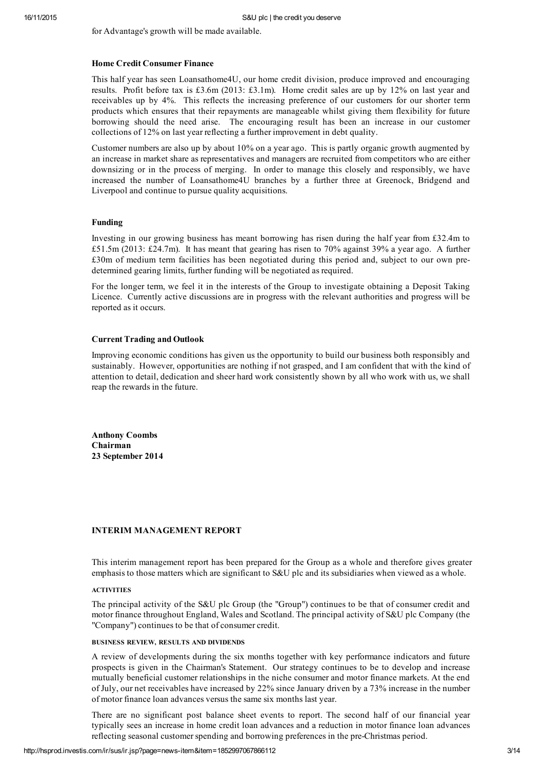for Advantage's growth will be made available.

### Home Credit Consumer Finance

This half year has seen Loansathome4U, our home credit division, produce improved and encouraging results. Profit before tax is £3.6m (2013: £3.1m). Home credit sales are up by 12% on last year and receivables up by 4%. This reflects the increasing preference of our customers for our shorter term products which ensures that their repayments are manageable whilst giving them flexibility for future borrowing should the need arise. The encouraging result has been an increase in our customer collections of 12% on last year reflecting a further improvement in debt quality.

Customer numbers are also up by about 10% on a year ago. This is partly organic growth augmented by an increase in market share as representatives and managers are recruited from competitors who are either downsizing or in the process of merging. In order to manage this closely and responsibly, we have increased the number of Loansathome4U branches by a further three at Greenock, Bridgend and Liverpool and continue to pursue quality acquisitions.

#### Funding

Investing in our growing business has meant borrowing has risen during the half year from £32.4m to £51.5m (2013: £24.7m). It has meant that gearing has risen to 70% against 39% a year ago. A further £30m of medium term facilities has been negotiated during this period and, subject to our own predetermined gearing limits, further funding will be negotiated as required.

For the longer term, we feel it in the interests of the Group to investigate obtaining a Deposit Taking Licence. Currently active discussions are in progress with the relevant authorities and progress will be reported as it occurs.

## Current Trading and Outlook

Improving economic conditions has given us the opportunity to build our business both responsibly and sustainably. However, opportunities are nothing if not grasped, and I am confident that with the kind of attention to detail, dedication and sheer hard work consistently shown by all who work with us, we shall reap the rewards in the future.

Anthony Coombs Chairman 23 September 2014

### INTERIM MANAGEMENT REPORT

This interim management report has been prepared for the Group as a whole and therefore gives greater emphasis to those matters which are significant to S&U plc and its subsidiaries when viewed as a whole.

#### ACTIVITIES

The principal activity of the S&U plc Group (the "Group") continues to be that of consumer credit and motor finance throughout England, Wales and Scotland. The principal activity of S&U plc Company (the "Company") continues to be that of consumer credit.

### BUSINESS REVIEW, RESULTS AND DIVIDENDS

A review of developments during the six months together with key performance indicators and future prospects is given in the Chairman's Statement. Our strategy continues to be to develop and increase mutually beneficial customer relationships in the niche consumer and motor finance markets. At the end of July, our net receivables have increased by 22% since January driven by a 73% increase in the number of motor finance loan advances versus the same six months last year.

There are no significant post balance sheet events to report. The second half of our financial year typically sees an increase in home credit loan advances and a reduction in motor finance loan advances reflecting seasonal customer spending and borrowing preferences in the pre-Christmas period.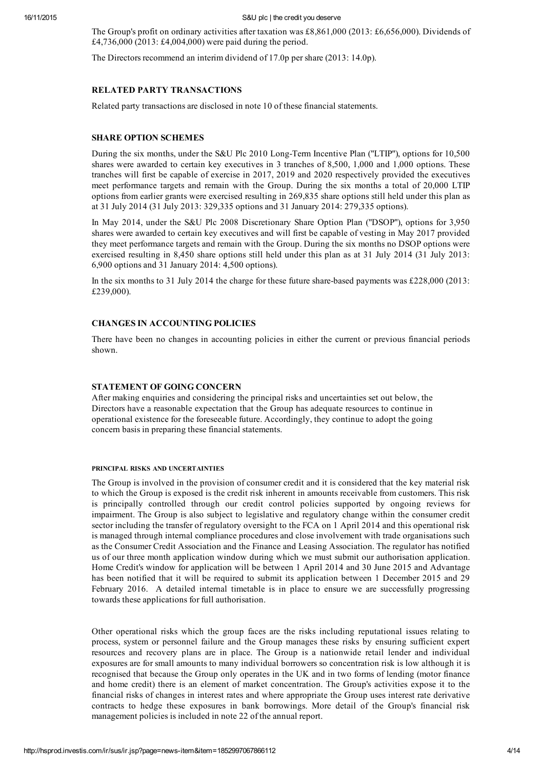The Group's profit on ordinary activities after taxation was £8,861,000 (2013: £6,656,000). Dividends of £4,736,000 (2013: £4,004,000) were paid during the period.

The Directors recommend an interim dividend of 17.0p pershare (2013: 14.0p).

### RELATED PARTY TRANSACTIONS

Related party transactions are disclosed in note 10 of these financial statements.

# SHARE OPTION SCHEMES

During the six months, under the S&U Plc 2010 Long-Term Incentive Plan ("LTIP"), options for 10,500 shares were awarded to certain key executives in 3 tranches of 8,500, 1,000 and 1,000 options. These tranches will first be capable of exercise in 2017, 2019 and 2020 respectively provided the executives meet performance targets and remain with the Group. During the six months a total of 20,000 LTIP options from earlier grants were exercised resulting in 269,835 share options still held under this plan as at 31 July 2014 (31 July 2013: 329,335 options and 31 January 2014: 279,335 options).

In May 2014, under the S&U Plc 2008 Discretionary Share Option Plan ("DSOP"), options for 3,950 shares were awarded to certain key executives and will first be capable of vesting in May 2017 provided they meet performance targets and remain with the Group. During the six months no DSOP options were exercised resulting in 8,450 share options still held under this plan as at 31 July 2014 (31 July 2013: 6,900 options and 31 January 2014: 4,500 options).

In the six months to 31 July 2014 the charge for these future share-based payments was £228,000 (2013: £239,000).

## CHANGES IN ACCOUNTING POLICIES

There have been no changes in accounting policies in either the current or previous financial periods shown.

### STATEMENT OF GOING CONCERN

After making enquiries and considering the principal risks and uncertainties set out below, the Directors have a reasonable expectation that the Group has adequate resources to continue in operational existence for the foreseeable future. Accordingly, they continue to adopt the going concern basis in preparing these financial statements.

#### PRINCIPAL RISKS AND UNCERTAINTIES

The Group is involved in the provision of consumer credit and it is considered that the key material risk to which the Group is exposed is the credit risk inherent in amounts receivable from customers. This risk is principally controlled through our credit control policies supported by ongoing reviews for impairment. The Group is also subject to legislative and regulatory change within the consumer credit sector including the transfer of regulatory oversight to the FCA on 1 April 2014 and this operational risk is managed through internal compliance procedures and close involvement with trade organisations such as the Consumer Credit Association and the Finance and Leasing Association. The regulator has notified us of our three month application window during which we must submit our authorisation application. Home Credit's window for application will be between 1 April 2014 and 30 June 2015 and Advantage has been notified that it will be required to submit its application between 1 December 2015 and 29 February 2016. A detailed internal timetable is in place to ensure we are successfully progressing towards these applications for full authorisation.

Other operational risks which the group faces are the risks including reputational issues relating to process, system or personnel failure and the Group manages these risks by ensuring sufficient expert resources and recovery plans are in place. The Group is a nationwide retail lender and individual exposures are for small amounts to many individual borrowers so concentration risk is low although it is recognised that because the Group only operates in the UK and in two forms of lending (motor finance and home credit) there is an element of market concentration. The Group's activities expose it to the financial risks of changes in interest rates and where appropriate the Group uses interest rate derivative contracts to hedge these exposures in bank borrowings. More detail of the Group's financial risk management policies is included in note 22 of the annual report.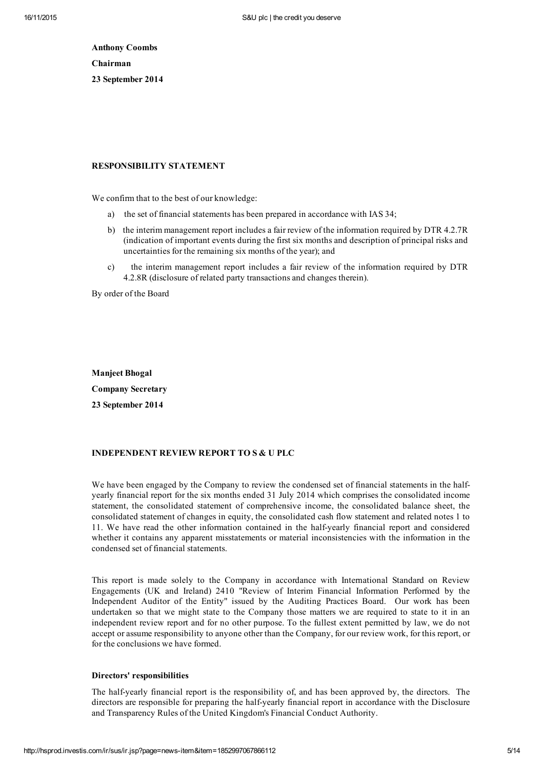Anthony Coombs Chairman 23 September 2014

### RESPONSIBILITY STATEMENT

We confirm that to the best of our knowledge:

- a) the set of financial statements has been prepared in accordance with IAS 34;
- b) the interim management report includes a fair review of the information required by DTR 4.2.7R (indication of important events during the first six months and description of principal risks and uncertainties for the remaining six months of the year); and
- c) the interim management report includes a fair review of the information required by DTR 4.2.8R (disclosure of related party transactions and changes therein).

By order of the Board

Manjeet Bhogal Company Secretary 23 September 2014

# INDEPENDENT REVIEW REPORT TO S & U PLC

We have been engaged by the Company to review the condensed set of financial statements in the halfyearly financial report for the six months ended 31 July 2014 which comprises the consolidated income statement, the consolidated statement of comprehensive income, the consolidated balance sheet, the consolidated statement of changes in equity, the consolidated cash flow statement and related notes 1 to 11. We have read the other information contained in the halfyearly financial report and considered whether it contains any apparent misstatements or material inconsistencies with the information in the condensed set of financial statements.

This report is made solely to the Company in accordance with International Standard on Review Engagements (UK and Ireland) 2410 "Review of Interim Financial Information Performed by the Independent Auditor of the Entity" issued by the Auditing Practices Board. Our work has been undertaken so that we might state to the Company those matters we are required to state to it in an independent review report and for no other purpose. To the fullest extent permitted by law, we do not accept or assume responsibility to anyone other than the Company, for our review work, for this report, or for the conclusions we have formed.

#### Directors' responsibilities

The halfyearly financial report is the responsibility of, and has been approved by, the directors. The directors are responsible for preparing the half-yearly financial report in accordance with the Disclosure and Transparency Rules of the United Kingdom's Financial Conduct Authority.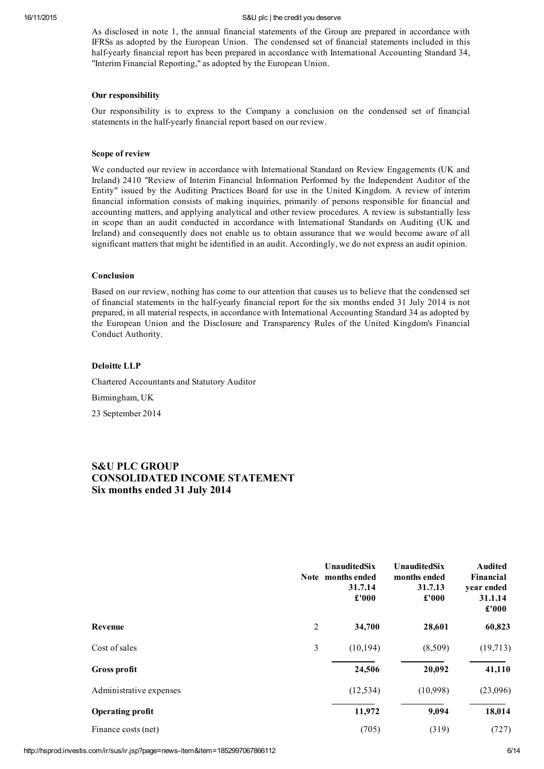As disclosed in note 1, the annual financial statements of the Group are prepared in accordance with IFRSs as adopted by the European Union. The condensed set of financial statements included in this half-yearly financial report has been prepared in accordance with International Accounting Standard 34, "Interim Financial Reporting," as adopted by the European Union.

### Our responsibility

Our responsibility is to express to the Company a conclusion on the condensed set of financial statements in the half-yearly financial report based on our review.

### Scope of review

We conducted our review in accordance with International Standard on Review Engagements (UK and Ireland) 2410 "Review of Interim Financial Information Performed by the Independent Auditor of the Entity" issued by the Auditing Practices Board for use in the United Kingdom. A review of interim financial information consists of making inquiries, primarily of persons responsible for financial and accounting matters, and applying analytical and other review procedures. A review is substantially less in scope than an audit conducted in accordance with International Standards on Auditing (UK and Ireland) and consequently does not enable us to obtain assurance that we would become aware of all significant matters that might be identified in an audit. Accordingly, we do not express an audit opinion.

### Conclusion

Based on our review, nothing has come to our attention that causes us to believe that the condensed set of financial statements in the half-yearly financial report for the six months ended 31 July 2014 is not prepared, in all material respects, in accordance with International Accounting Standard 34 as adopted by the European Union and the Disclosure and Transparency Rules of the United Kingdom's Financial Conduct Authority.

### Deloitte LLP

Chartered Accountants and Statutory Auditor

Birmingham, UK

23 September 2014

# S&U PLC GROUP CONSOLIDATED INCOME STATEMENT Six months ended 31 July 2014

|                         |                | <b>UnauditedSix</b><br>Note months ended<br>31.7.14<br>£'000 | UnauditedSix<br>months ended<br>31.7.13<br>£'000 | <b>Audited</b><br>Financial<br>year ended<br>31.1.14<br>£'000 |
|-------------------------|----------------|--------------------------------------------------------------|--------------------------------------------------|---------------------------------------------------------------|
| Revenue                 | $\overline{c}$ | 34,700                                                       | 28,601                                           | 60,823                                                        |
| Cost of sales           | $\mathfrak{Z}$ | (10, 194)                                                    | (8,509)                                          | (19,713)                                                      |
| Gross profit            |                | 24,506                                                       | 20,092                                           | 41,110                                                        |
| Administrative expenses |                | (12, 534)                                                    | (10,998)                                         | (23,096)                                                      |
| <b>Operating profit</b> |                | 11,972                                                       | 9,094                                            | 18,014                                                        |
| Finance costs (net)     |                | (705)                                                        | (319)                                            | (727)                                                         |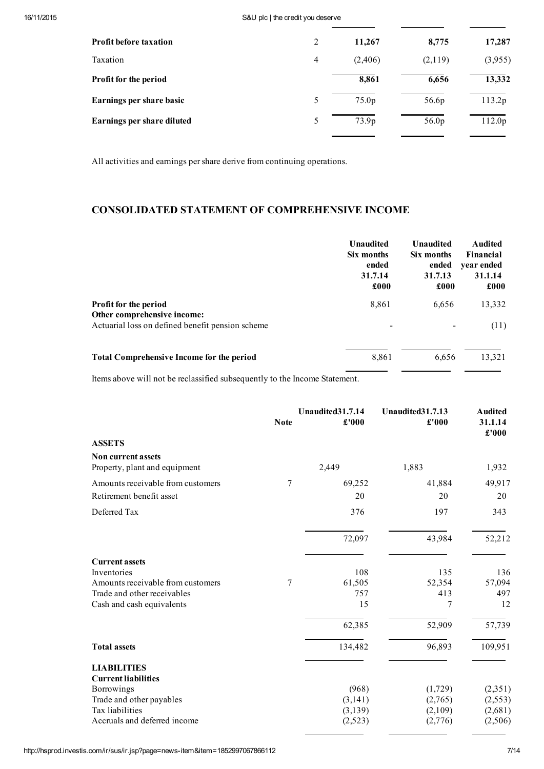| <b>Profit before taxation</b> | 2              | 11,267  | 8,775   | 17,287  |
|-------------------------------|----------------|---------|---------|---------|
| Taxation                      | $\overline{4}$ | (2,406) | (2,119) | (3,955) |
| Profit for the period         |                | 8,861   | 6,656   | 13,332  |
| Earnings per share basic      | 5              | 75.0p   | 56.6p   | 113.2p  |
| Earnings per share diluted    | 5              | 73.9p   | 56.0p   | 112.0p  |
|                               |                |         |         |         |

All activities and earnings pershare derive from continuing operations.

# CONSOLIDATED STATEMENT OF COMPREHENSIVE INCOME

|                                                      | Unaudited<br>Six months<br>ended<br>31.7.14<br>£000 | <b>Unaudited</b><br>Six months<br>ended<br>31.7.13<br>£000 | <b>Audited</b><br>Financial<br>year ended<br>31.1.14<br>£000 |
|------------------------------------------------------|-----------------------------------------------------|------------------------------------------------------------|--------------------------------------------------------------|
| Profit for the period<br>Other comprehensive income: | 8,861                                               | 6,656                                                      | 13,332                                                       |
| Actuarial loss on defined benefit pension scheme     | $\overline{\phantom{0}}$                            |                                                            | (11)                                                         |
| <b>Total Comprehensive Income for the period</b>     | 8,861                                               | 6,656                                                      | 13,321                                                       |

Items above will not be reclassified subsequently to the Income Statement.

|                                                            | <b>Note</b> | Unaudited31.7.14<br>£'000 | Unaudited31.7.13<br>£'000 | <b>Audited</b><br>31.1.14<br>£'000 |
|------------------------------------------------------------|-------------|---------------------------|---------------------------|------------------------------------|
| <b>ASSETS</b>                                              |             |                           |                           |                                    |
| <b>Non current assets</b><br>Property, plant and equipment |             | 2,449                     | 1,883                     | 1,932                              |
| Amounts receivable from customers                          | 7           | 69,252                    | 41,884                    | 49,917                             |
| Retirement benefit asset                                   |             | 20                        | 20                        | 20                                 |
| Deferred Tax                                               |             | 376                       | 197                       | 343                                |
|                                                            |             | 72,097                    | 43,984                    | 52,212                             |
| <b>Current assets</b>                                      |             |                           |                           |                                    |
| Inventories<br>Amounts receivable from customers           | 7           | 108<br>61,505             | 135<br>52,354             | 136<br>57,094                      |
| Trade and other receivables                                |             | 757                       | 413                       | 497                                |
| Cash and cash equivalents                                  |             | 15                        | 7                         | 12                                 |
|                                                            |             | 62,385                    | 52,909                    | 57,739                             |
| <b>Total assets</b>                                        |             | 134,482                   | 96,893                    | 109,951                            |
| <b>LIABILITIES</b><br><b>Current liabilities</b>           |             |                           |                           |                                    |
| Borrowings                                                 |             | (968)                     | (1,729)                   | (2,351)                            |
| Trade and other payables                                   |             | (3,141)                   | (2,765)                   | (2, 553)                           |
| Tax liabilities                                            |             | (3,139)                   | (2,109)                   | (2,681)                            |
| Accruals and deferred income                               |             | (2,523)                   | (2,776)                   | (2,506)                            |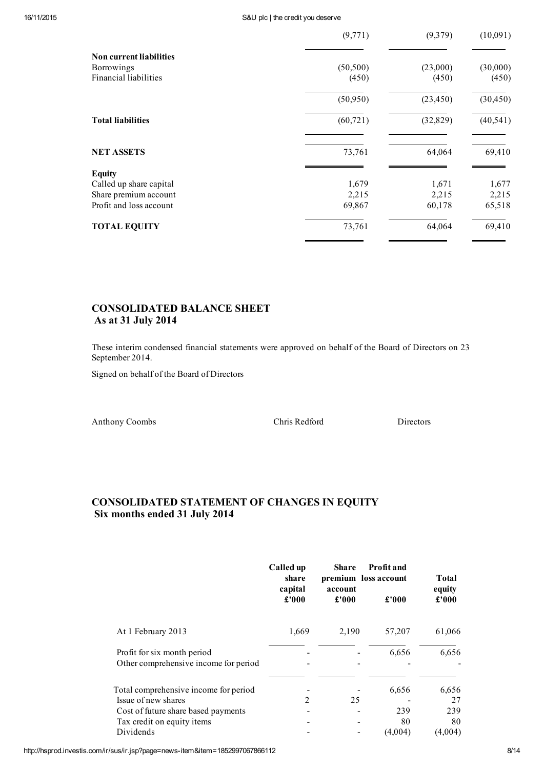|                                                                       | (9,771)            | (9,379)           | (10,091)          |
|-----------------------------------------------------------------------|--------------------|-------------------|-------------------|
| <b>Non current liabilities</b><br>Borrowings<br>Financial liabilities | (50, 500)<br>(450) | (23,000)<br>(450) | (30,000)<br>(450) |
|                                                                       | (50,950)           | (23, 450)         | (30, 450)         |
| <b>Total liabilities</b>                                              | (60, 721)          | (32, 829)         | (40, 541)         |
| <b>NET ASSETS</b>                                                     | 73,761             | 64,064            | 69,410            |
|                                                                       |                    |                   |                   |
| Called up share capital                                               | 1,679              | 1,671             | 1,677             |
| Share premium account                                                 | 2,215              | 2,215             | 2,215             |
| Profit and loss account                                               | 69,867             | 60,178            | 65,518            |
| <b>TOTAL EQUITY</b>                                                   | 73,761             | 64,064            | 69,410            |
| <b>Equity</b>                                                         |                    |                   |                   |

# CONSOLIDATED BALANCE SHEET As at 31 July 2014

These interim condensed financial statements were approved on behalf of the Board of Directors on 23 September 2014.

Signed on behalf of the Board of Directors

Anthony Coombs Chris Redford Directors

# CONSOLIDATED STATEMENT OF CHANGES IN EQUITY Six months ended 31 July 2014

|                                                                                                                                   | Called up<br>share<br>capital | <b>Share</b><br>account | Profit and<br>premium loss account | <b>Total</b><br>equity   |
|-----------------------------------------------------------------------------------------------------------------------------------|-------------------------------|-------------------------|------------------------------------|--------------------------|
|                                                                                                                                   | £'000                         | £'000                   | £'000                              | £'000                    |
| At 1 February 2013                                                                                                                | 1,669                         | 2,190                   | 57,207                             | 61,066                   |
| Profit for six month period<br>Other comprehensive income for period                                                              |                               |                         | 6,656                              | 6,656                    |
| Total comprehensive income for period<br>Issue of new shares<br>Cost of future share based payments<br>Tax credit on equity items | 2                             | 25                      | 6,656<br>239<br>80                 | 6,656<br>27<br>239<br>80 |
| Dividends                                                                                                                         |                               |                         | (4,004)                            | (4,004)                  |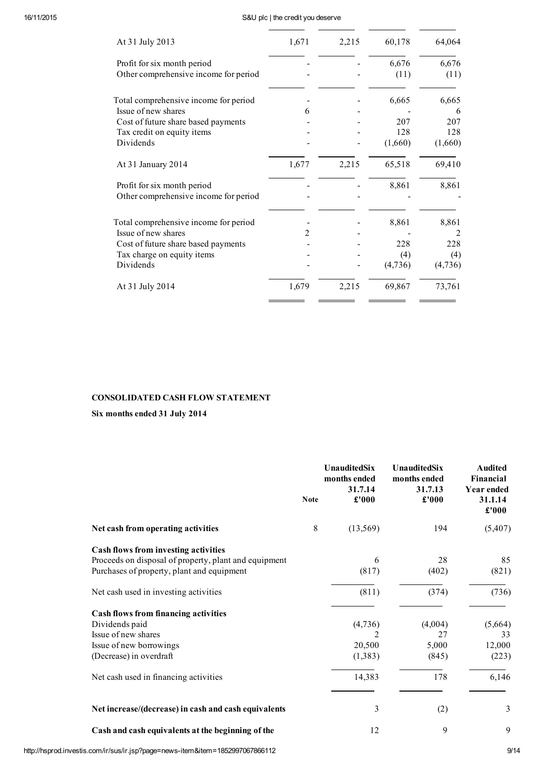| At 31 July 2013                       | 1,671          | 2,215 | 60,178  | 64,064  |
|---------------------------------------|----------------|-------|---------|---------|
| Profit for six month period           |                |       | 6,676   | 6,676   |
| Other comprehensive income for period |                |       | (11)    | (11)    |
| Total comprehensive income for period |                |       | 6,665   | 6,665   |
| Issue of new shares                   | 6              |       |         | 6       |
| Cost of future share based payments   |                |       | 207     | 207     |
| Tax credit on equity items            |                |       | 128     | 128     |
| Dividends                             |                |       | (1,660) | (1,660) |
| At 31 January 2014                    | 1,677          | 2,215 | 65,518  | 69,410  |
| Profit for six month period           |                |       | 8,861   | 8,861   |
| Other comprehensive income for period |                |       |         |         |
| Total comprehensive income for period |                |       | 8,861   | 8,861   |
| Issue of new shares                   | $\mathfrak{D}$ |       |         | 2       |
| Cost of future share based payments   |                |       | 228     | 228     |
| Tax charge on equity items            |                |       | (4)     | (4)     |
| Dividends                             |                |       | (4,736) | (4,736) |
| At 31 July 2014                       | 1,679          | 2,215 | 69,867  | 73,761  |
|                                       |                |       |         |         |

# CONSOLIDATED CASH FLOW STATEMENT

Six months ended 31 July 2014

|                                                                                                                                                                                      | <b>Note</b> | <b>UnauditedSix</b><br>months ended<br>31.7.14<br>£'000  | <b>UnauditedSix</b><br>months ended<br>31.7.13<br>£'000 | <b>Audited</b><br><b>Financial</b><br><b>Year ended</b><br>31.1.14<br>£'000 |
|--------------------------------------------------------------------------------------------------------------------------------------------------------------------------------------|-------------|----------------------------------------------------------|---------------------------------------------------------|-----------------------------------------------------------------------------|
| Net cash from operating activities                                                                                                                                                   | 8           | (13,569)                                                 | 194                                                     | (5,407)                                                                     |
| Cash flows from investing activities<br>Proceeds on disposal of property, plant and equipment<br>Purchases of property, plant and equipment<br>Net cash used in investing activities |             | 6<br>(817)<br>(811)                                      | 28<br>(402)<br>(374)                                    | 85<br>(821)<br>(736)                                                        |
| <b>Cash flows from financing activities</b><br>Dividends paid<br>Issue of new shares<br>Issue of new borrowings<br>(Decrease) in overdraft<br>Net cash used in financing activities  |             | (4,736)<br>$\overline{c}$<br>20,500<br>(1,383)<br>14,383 | (4,004)<br>27<br>5,000<br>(845)<br>178                  | (5,664)<br>33<br>12,000<br>(223)<br>6,146                                   |
| Net increase/(decrease) in cash and cash equivalents<br>Cash and cash equivalents at the beginning of the                                                                            |             | 3<br>12                                                  | (2)<br>9                                                | 3<br>9                                                                      |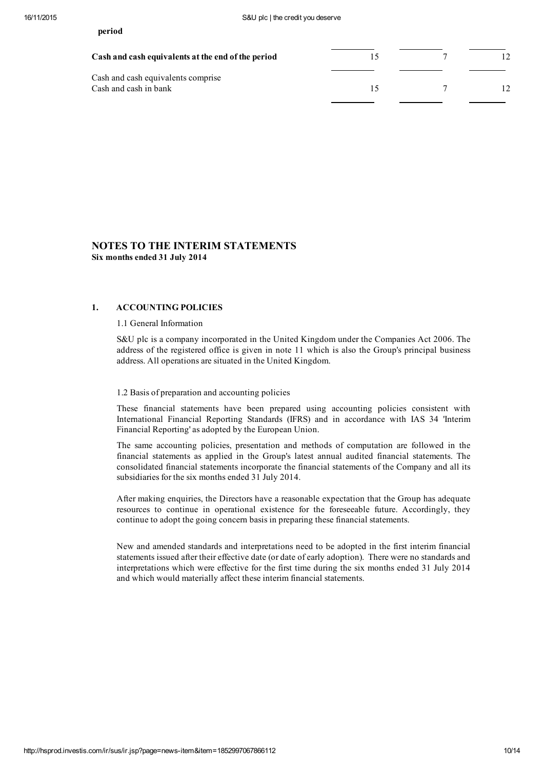Cash and cash equivalents comprise Cash and cash in bank  $15$  7 12

# NOTES TO THE INTERIM STATEMENTS Six months ended 31 July 2014

## 1. ACCOUNTING POLICIES

### 1.1 General Information

S&U plc is a company incorporated in the United Kingdom under the Companies Act 2006. The address of the registered office is given in note 11 which is also the Group's principal business address. All operations are situated in the United Kingdom.

### 1.2 Basis of preparation and accounting policies

These financial statements have been prepared using accounting policies consistent with International Financial Reporting Standards (IFRS) and in accordance with IAS 34 'Interim Financial Reporting' as adopted by the European Union.

The same accounting policies, presentation and methods of computation are followed in the financial statements as applied in the Group's latest annual audited financial statements. The consolidated financial statements incorporate the financial statements of the Company and all its subsidiaries for the six months ended 31 July 2014.

After making enquiries, the Directors have a reasonable expectation that the Group has adequate resources to continue in operational existence for the foreseeable future. Accordingly, they continue to adopt the going concern basis in preparing these financial statements.

New and amended standards and interpretations need to be adopted in the first interim financial statements issued after their effective date (or date of early adoption). There were no standards and interpretations which were effective for the first time during the six months ended 31 July 2014 and which would materially affect these interim financial statements.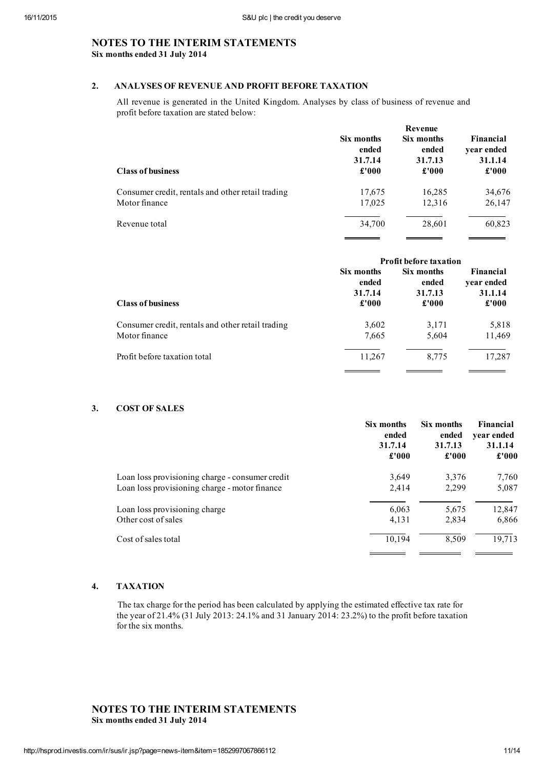# NOTES TO THE INTERIM STATEMENTS Six months ended 31 July 2014

# 2. ANALYSES OF REVENUE AND PROFIT BEFORE TAXATION

All revenue is generated in the United Kingdom. Analyses by class of business of revenue and profit before taxation are stated below:

|                                                   | Revenue    |            |            |  |  |
|---------------------------------------------------|------------|------------|------------|--|--|
| <b>Class of business</b>                          | Six months | Six months | Financial  |  |  |
|                                                   | ended      | ended      | year ended |  |  |
|                                                   | 31.7.14    | 31.7.13    | 31.1.14    |  |  |
|                                                   | £'000      | £'000      | £'000      |  |  |
| Consumer credit, rentals and other retail trading | 17,675     | 16,285     | 34,676     |  |  |
| Motor finance                                     | 17,025     | 12,316     | 26,147     |  |  |
| Revenue total                                     | 34,700     | 28,601     | 60,823     |  |  |

| <b>Profit before taxation</b>           |                                         |                                             |  |
|-----------------------------------------|-----------------------------------------|---------------------------------------------|--|
| Six months<br>ended<br>31.7.14<br>£'000 | Six months<br>ended<br>31.7.13<br>£'000 | Financial<br>year ended<br>31.1.14<br>£'000 |  |
| 3,602<br>7,665                          | 3,171<br>5,604                          | 5,818<br>11,469                             |  |
| 11,267                                  | 8,775                                   | 17,287                                      |  |
|                                         |                                         |                                             |  |

# 3. COST OF SALES

|                                                 | Six months | Six months | Financial  |
|-------------------------------------------------|------------|------------|------------|
|                                                 | ended      | ended      | year ended |
|                                                 | 31.7.14    | 31.7.13    | 31.1.14    |
|                                                 | £'000      | £'000      | £'000      |
| Loan loss provisioning charge - consumer credit | 3,649      | 3,376      | 7,760      |
| Loan loss provisioning charge - motor finance   | 2,414      | 2,299      | 5,087      |
| Loan loss provisioning charge                   | 6,063      | 5,675      | 12,847     |
| Other cost of sales                             | 4,131      | 2,834      | 6,866      |
| Cost of sales total                             | 10,194     | 8,509      | 19,713     |

# 4. TAXATION

The tax charge for the period has been calculated by applying the estimated effective tax rate for the year of 21.4% (31 July 2013: 24.1% and 31 January 2014: 23.2%) to the profit before taxation for the six months.

# NOTES TO THE INTERIM STATEMENTS Six months ended 31 July 2014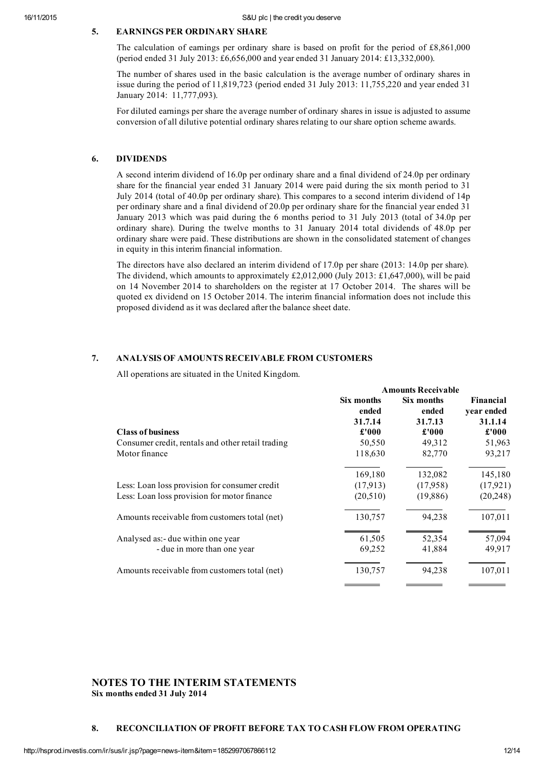# 5. EARNINGS PER ORDINARY SHARE

The calculation of earnings per ordinary share is based on profit for the period of £8,861,000 (period ended 31 July 2013: £6,656,000 and year ended 31 January 2014: £13,332,000).

The number of shares used in the basic calculation is the average number of ordinary shares in issue during the period of 11,819,723 (period ended 31 July 2013: 11,755,220 and year ended 31 January 2014: 11,777,093).

For diluted earnings per share the average number of ordinary shares in issue is adjusted to assume conversion of all dilutive potential ordinary shares relating to ourshare option scheme awards.

# 6. DIVIDENDS

A second interim dividend of 16.0p per ordinary share and a final dividend of 24.0p per ordinary share for the financial year ended 31 January 2014 were paid during the six month period to 31 July 2014 (total of 40.0p per ordinary share). This compares to a second interim dividend of 14p per ordinary share and a final dividend of 20.0p per ordinary share for the financial year ended 31 January 2013 which was paid during the 6 months period to 31 July 2013 (total of 34.0p per ordinary share). During the twelve months to 31 January 2014 total dividends of 48.0p per ordinary share were paid. These distributions are shown in the consolidated statement of changes in equity in this interim financial information.

The directors have also declared an interim dividend of 17.0p per share (2013: 14.0p per share). The dividend, which amounts to approximately £2,012,000 (July 2013: £1,647,000), will be paid on 14 November 2014 to shareholders on the register at 17 October 2014. The shares will be quoted ex dividend on 15 October 2014. The interim financial information does not include this proposed dividend as it was declared after the balance sheet date.

# 7. ANALYSIS OF AMOUNTS RECEIVABLE FROM CUSTOMERS

All operations are situated in the United Kingdom.

|                                                   | <b>Amounts Receivable</b> |                     |                         |
|---------------------------------------------------|---------------------------|---------------------|-------------------------|
|                                                   | Six months<br>ended       | Six months<br>ended | Financial<br>year ended |
|                                                   | 31.7.14                   | 31.7.13             | 31.1.14                 |
| <b>Class of business</b>                          | £'000                     | £'000               | £'000                   |
| Consumer credit, rentals and other retail trading | 50,550                    | 49,312              | 51,963                  |
| Motor finance                                     | 118,630                   | 82,770              | 93,217                  |
|                                                   | 169,180                   | 132,082             | 145,180                 |
| Less: Loan loss provision for consumer credit     | (17,913)                  | (17,958)            | (17, 921)               |
| Less: Loan loss provision for motor finance       | (20,510)                  | (19,886)            | (20, 248)               |
| Amounts receivable from customers total (net)     | 130,757                   | 94,238              | 107,011                 |
| Analysed as: - due within one year                | 61,505                    | 52,354              | 57,094                  |
| - due in more than one year                       | 69,252                    | 41,884              | 49,917                  |
| Amounts receivable from customers total (net)     | 130,757                   | 94,238              | 107,011                 |

# NOTES TO THE INTERIM STATEMENTS Six months ended 31 July 2014

### 8. RECONCILIATION OF PROFIT BEFORE TAX TO CASH FLOW FROM OPERATING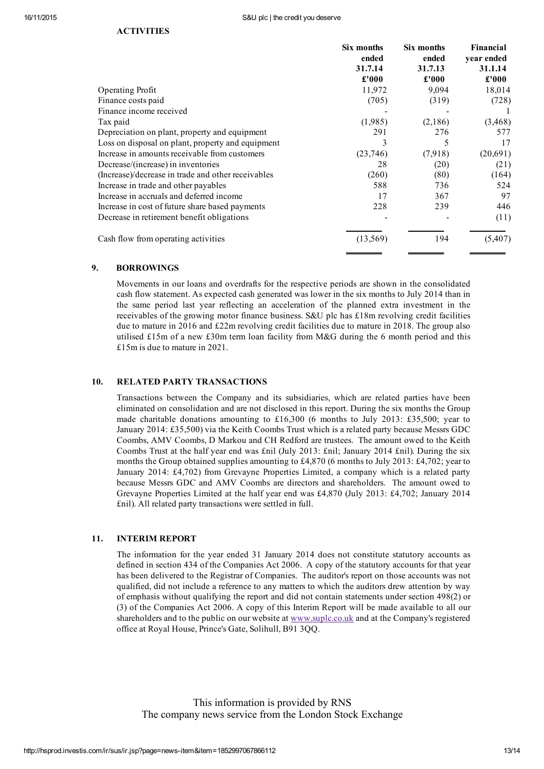|                                                    | Six months<br>ended<br>31.7.14<br>£'000 | Six months<br>ended<br>31.7.13<br>£'000 | Financial<br>year ended<br>31.1.14<br>$\pmb{\pounds}^{\prime}000$ |
|----------------------------------------------------|-----------------------------------------|-----------------------------------------|-------------------------------------------------------------------|
|                                                    |                                         |                                         |                                                                   |
|                                                    |                                         |                                         |                                                                   |
| <b>Operating Profit</b>                            | 11,972                                  | 9,094                                   | 18,014                                                            |
| Finance costs paid                                 | (705)                                   | (319)                                   | (728)                                                             |
| Finance income received                            |                                         |                                         |                                                                   |
| Tax paid                                           | (1,985)                                 | (2,186)                                 | (3, 468)                                                          |
| Depreciation on plant, property and equipment      | 291                                     | 276                                     | 577                                                               |
| Loss on disposal on plant, property and equipment  | 3                                       | 5                                       | 17                                                                |
| Increase in amounts receivable from customers      | (23,746)                                | (7,918)                                 | (20,691)                                                          |
| Decrease/(increase) in inventories                 | 28                                      | (20)                                    | (21)                                                              |
| (Increase)/decrease in trade and other receivables | (260)                                   | (80)                                    | (164)                                                             |
| Increase in trade and other payables               | 588                                     | 736                                     | 524                                                               |
| Increase in accruals and deferred income           | 17                                      | 367                                     | 97                                                                |
| Increase in cost of future share based payments    | 228                                     | 239                                     | 446                                                               |
| Decrease in retirement benefit obligations         |                                         |                                         | (11)                                                              |
| Cash flow from operating activities                | (13, 569)                               | 194                                     | (5,407)                                                           |

# 9. BORROWINGS

Movements in our loans and overdrafts for the respective periods are shown in the consolidated cash flow statement. As expected cash generated was lower in the six months to July 2014 than in the same period last year reflecting an acceleration of the planned extra investment in the receivables of the growing motor finance business. S&U plc has £18m revolving credit facilities due to mature in 2016 and £22m revolving credit facilities due to mature in 2018. The group also utilised £15m of a new £30m term loan facility from M&G during the 6 month period and this £15m is due to mature in 2021.

# 10. RELATED PARTY TRANSACTIONS

Transactions between the Company and its subsidiaries, which are related parties have been eliminated on consolidation and are not disclosed in this report. During the six months the Group made charitable donations amounting to £16,300 (6 months to July 2013: £35,500; year to January 2014: £35,500) via the Keith Coombs Trust which is a related party because Messrs GDC Coombs, AMV Coombs, D Markou and CH Redford are trustees. The amount owed to the Keith Coombs Trust at the half year end was £nil (July 2013: £nil; January 2014 £nil). During the six months the Group obtained supplies amounting to £4,870 (6 months to July 2013: £4,702; year to January 2014: £4,702) from Grevayne Properties Limited, a company which is a related party because Messrs GDC and AMV Coombs are directors and shareholders. The amount owed to Grevayne Properties Limited at the half year end was £4,870 (July 2013: £4,702; January 2014 £nil). All related party transactions were settled in full.

### 11. INTERIM REPORT

The information for the year ended 31 January 2014 does not constitute statutory accounts as defined in section 434 of the Companies Act 2006. A copy of the statutory accounts for that year has been delivered to the Registrar of Companies. The auditor's report on those accounts was not qualified, did not include a reference to any matters to which the auditors drew attention by way of emphasis without qualifying the report and did not contain statements under section 498(2) or (3) of the Companies Act 2006. A copy of this Interim Report will be made available to all our shareholders and to the public on our website at [www.suplc.co.uk](http://www.suplc.co.uk/) and at the Company's registered office at Royal House, Prince's Gate, Solihull, B91 3QQ.

This information is provided by RNS The company news service from the London Stock Exchange